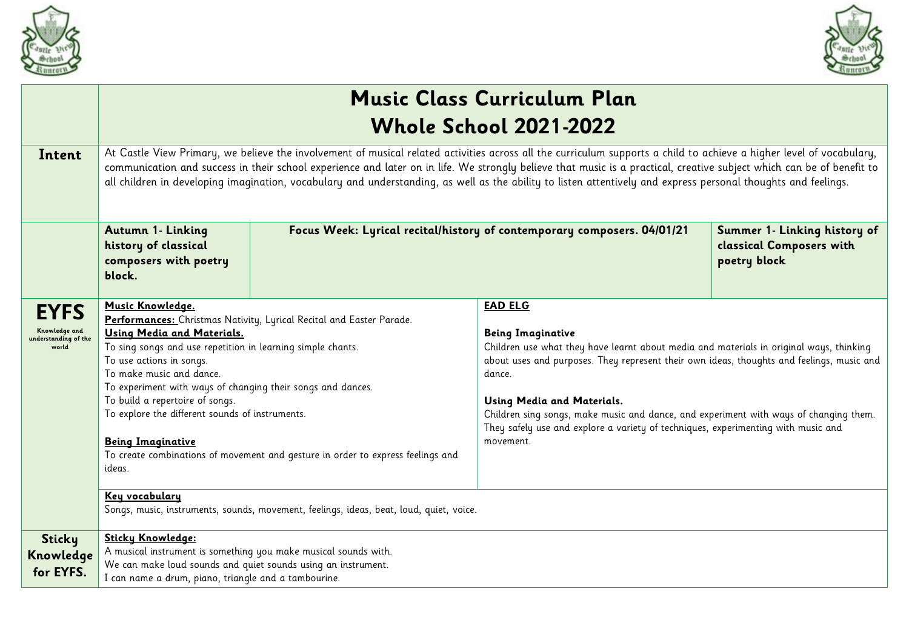



|                                                               | <b>Music Class Curriculum Plan</b>                                                                                                                                                                                                                                                                                                                                                                                                                                                                              |                                                                                                                                                         |                                                                                                                                                                                                                                                                                                                                                                                                                                                                       |                                                                          |
|---------------------------------------------------------------|-----------------------------------------------------------------------------------------------------------------------------------------------------------------------------------------------------------------------------------------------------------------------------------------------------------------------------------------------------------------------------------------------------------------------------------------------------------------------------------------------------------------|---------------------------------------------------------------------------------------------------------------------------------------------------------|-----------------------------------------------------------------------------------------------------------------------------------------------------------------------------------------------------------------------------------------------------------------------------------------------------------------------------------------------------------------------------------------------------------------------------------------------------------------------|--------------------------------------------------------------------------|
|                                                               | <b>Whole School 2021-2022</b>                                                                                                                                                                                                                                                                                                                                                                                                                                                                                   |                                                                                                                                                         |                                                                                                                                                                                                                                                                                                                                                                                                                                                                       |                                                                          |
| Intent                                                        | At Castle View Primary, we believe the involvement of musical related activities across all the curriculum supports a child to achieve a higher level of vocabulary,<br>communication and success in their school experience and later on in life. We strongly believe that music is a practical, creative subject which can be of benefit to<br>all children in developing imagination, vocabulary and understanding, as well as the ability to listen attentively and express personal thoughts and feelings. |                                                                                                                                                         |                                                                                                                                                                                                                                                                                                                                                                                                                                                                       |                                                                          |
|                                                               | Autumn 1- Linking<br>history of classical<br>composers with poetry<br>block.                                                                                                                                                                                                                                                                                                                                                                                                                                    |                                                                                                                                                         | Focus Week: Lyrical recital/history of contemporary composers. 04/01/21                                                                                                                                                                                                                                                                                                                                                                                               | Summer 1- Linking history of<br>classical Composers with<br>poetry block |
| <b>EYFS</b><br>Knowledge and<br>understanding of the<br>world | Music Knowledge.<br>Using Media and Materials.<br>To sing songs and use repetition in learning simple chants.<br>To use actions in songs.<br>To make music and dance.<br>To experiment with ways of changing their songs and dances.<br>To build a repertoire of songs.<br>To explore the different sounds of instruments.<br><b>Being Imaginative</b><br>ideas.<br>Key vocabulary                                                                                                                              | Performances: Christmas Nativity, Lyrical Recital and Easter Parade.<br>To create combinations of movement and gesture in order to express feelings and | <b>EAD ELG</b><br><b>Being Imaginative</b><br>Children use what they have learnt about media and materials in original ways, thinking<br>about uses and purposes. They represent their own ideas, thoughts and feelings, music and<br>dance.<br>Using Media and Materials.<br>Children sing songs, make music and dance, and experiment with ways of changing them.<br>They safely use and explore a variety of techniques, experimenting with music and<br>movement. |                                                                          |
| <b>Sticky</b><br>Knowledge<br>for EYFS.                       | Sticky Knowledge:<br>A musical instrument is something you make musical sounds with.<br>We can make loud sounds and quiet sounds using an instrument.<br>I can name a drum, piano, triangle and a tambourine.                                                                                                                                                                                                                                                                                                   | Songs, music, instruments, sounds, movement, feelings, ideas, beat, loud, quiet, voice.                                                                 |                                                                                                                                                                                                                                                                                                                                                                                                                                                                       |                                                                          |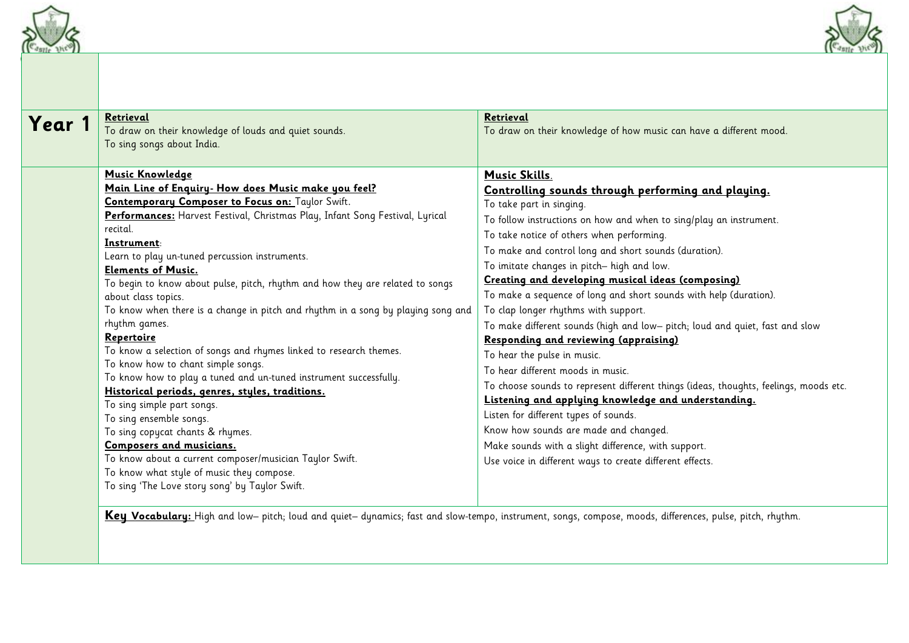



| Retrieval<br>Year 1<br>To draw on their knowledge of louds and quiet sounds.<br>To sing songs about India.                                                                                                                                                                                                                                                                                                                                                                                                                                                                                                                                                                                                                                                                                                                                                                                                                                                                                                                                                                     | Retrieval<br>To draw on their knowledge of how music can have a different mood.                                                                                                                                                                                                                                                                                                                                                                                                                                                                                                                                                                                                                                                                                                                                                                                                                                                                                                                                                                     |
|--------------------------------------------------------------------------------------------------------------------------------------------------------------------------------------------------------------------------------------------------------------------------------------------------------------------------------------------------------------------------------------------------------------------------------------------------------------------------------------------------------------------------------------------------------------------------------------------------------------------------------------------------------------------------------------------------------------------------------------------------------------------------------------------------------------------------------------------------------------------------------------------------------------------------------------------------------------------------------------------------------------------------------------------------------------------------------|-----------------------------------------------------------------------------------------------------------------------------------------------------------------------------------------------------------------------------------------------------------------------------------------------------------------------------------------------------------------------------------------------------------------------------------------------------------------------------------------------------------------------------------------------------------------------------------------------------------------------------------------------------------------------------------------------------------------------------------------------------------------------------------------------------------------------------------------------------------------------------------------------------------------------------------------------------------------------------------------------------------------------------------------------------|
| <b>Music Knowledge</b><br>Main Line of Enquiry- How does Music make you feel?<br>Contemporary Composer to Focus on: Taylor Swift.<br>Performances: Harvest Festival, Christmas Play, Infant Song Festival, Lyrical<br>recital.<br>Instrument:<br>Learn to play un-tuned percussion instruments.<br><b>Elements of Music.</b><br>To begin to know about pulse, pitch, rhythm and how they are related to songs<br>about class topics.<br>To know when there is a change in pitch and rhythm in a song by playing song and<br>rhythm games.<br>Repertoire<br>To know a selection of songs and rhymes linked to research themes.<br>To know how to chant simple songs.<br>To know how to play a tuned and un-tuned instrument successfully.<br>Historical periods, genres, styles, traditions.<br>To sing simple part songs.<br>To sing ensemble songs.<br>To sing copycat chants & rhymes.<br>Composers and musicians.<br>To know about a current composer/musician Taylor Swift.<br>To know what style of music they compose.<br>To sing 'The Love story song' by Taylor Swift. | <b>Music Skills.</b><br>Controlling sounds through performing and playing.<br>To take part in singing.<br>To follow instructions on how and when to sing/play an instrument.<br>To take notice of others when performing.<br>To make and control long and short sounds (duration).<br>To imitate changes in pitch-high and low.<br>Creating and developing musical ideas (composing)<br>To make a sequence of long and short sounds with help (duration).<br>To clap longer rhythms with support.<br>To make different sounds (high and low- pitch; loud and quiet, fast and slow<br>Responding and reviewing (appraising)<br>To hear the pulse in music.<br>To hear different moods in music.<br>To choose sounds to represent different things (ideas, thoughts, feelings, moods etc.<br>Listening and applying knowledge and understanding.<br>Listen for different types of sounds.<br>Know how sounds are made and changed.<br>Make sounds with a slight difference, with support.<br>Use voice in different ways to create different effects. |

**Key Vocabulary:** High and low– pitch; loud and quiet– dynamics; fast and slow-tempo, instrument, songs, compose, moods, differences, pulse, pitch, rhythm.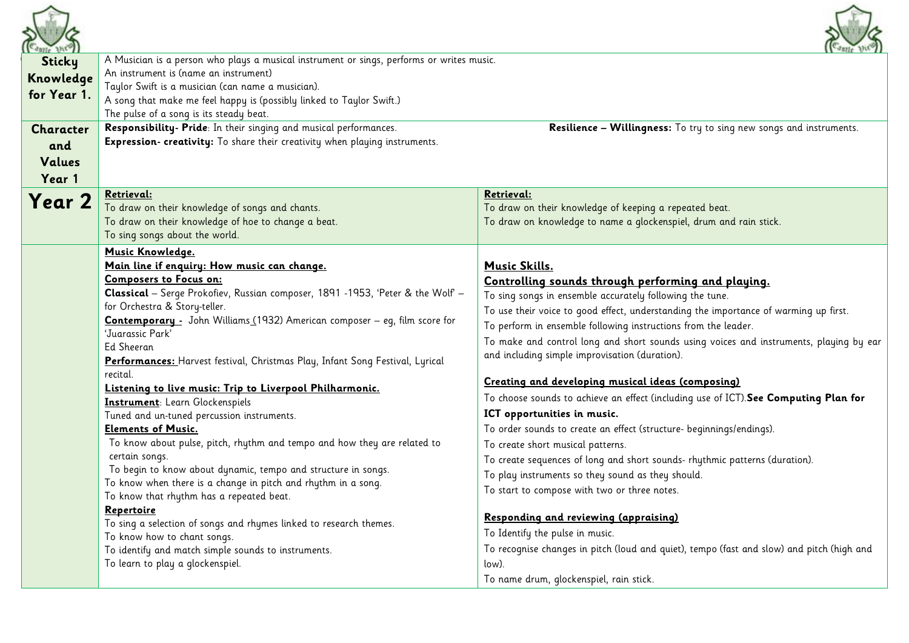

| <b>Sticky</b><br>Knowledge<br>for Year 1.   | A Musician is a person who plays a musical instrument or sings, performs or writes music.<br>An instrument is (name an instrument)<br>Taylor Swift is a musician (can name a musician).<br>A song that make me feel happy is (possibly linked to Taylor Swift.)<br>The pulse of a song is its steady beat.                                                                                                                                                                                                                                                                                                                                                                                                                                                                                                                                                                                                                                                                                                                                                                                                  |                                                                                                                                                                                                                                                                                                                                                                                                                                                                                                                                                                                                                                                                                                                                                                                                                                                                                                                                                                                                                                                                                                                                                        |  |
|---------------------------------------------|-------------------------------------------------------------------------------------------------------------------------------------------------------------------------------------------------------------------------------------------------------------------------------------------------------------------------------------------------------------------------------------------------------------------------------------------------------------------------------------------------------------------------------------------------------------------------------------------------------------------------------------------------------------------------------------------------------------------------------------------------------------------------------------------------------------------------------------------------------------------------------------------------------------------------------------------------------------------------------------------------------------------------------------------------------------------------------------------------------------|--------------------------------------------------------------------------------------------------------------------------------------------------------------------------------------------------------------------------------------------------------------------------------------------------------------------------------------------------------------------------------------------------------------------------------------------------------------------------------------------------------------------------------------------------------------------------------------------------------------------------------------------------------------------------------------------------------------------------------------------------------------------------------------------------------------------------------------------------------------------------------------------------------------------------------------------------------------------------------------------------------------------------------------------------------------------------------------------------------------------------------------------------------|--|
| <b>Character</b><br>and<br>Values<br>Year 1 | Responsibility- Pride: In their singing and musical performances.<br>Expression- creativity: To share their creativity when playing instruments.                                                                                                                                                                                                                                                                                                                                                                                                                                                                                                                                                                                                                                                                                                                                                                                                                                                                                                                                                            | Resilience - Willingness: To try to sing new songs and instruments.                                                                                                                                                                                                                                                                                                                                                                                                                                                                                                                                                                                                                                                                                                                                                                                                                                                                                                                                                                                                                                                                                    |  |
| Year 2                                      | Retrieval:<br>To draw on their knowledge of songs and chants.<br>To draw on their knowledge of hoe to change a beat.<br>To sing songs about the world.                                                                                                                                                                                                                                                                                                                                                                                                                                                                                                                                                                                                                                                                                                                                                                                                                                                                                                                                                      | <u> Retrieval:</u><br>To draw on their knowledge of keeping a repeated beat.<br>To draw on knowledge to name a glockenspiel, drum and rain stick.                                                                                                                                                                                                                                                                                                                                                                                                                                                                                                                                                                                                                                                                                                                                                                                                                                                                                                                                                                                                      |  |
|                                             | Music Knowledge.<br>Main line if enquiry: How music can change.<br><b>Composers to Focus on:</b><br>Classical - Serge Prokofiev, Russian composer, 1891 -1953, 'Peter & the Wolf -<br>for Orchestra & Story-teller.<br>Contemporary - John Williams (1932) American composer - eq, film score for<br>'Juarassic Park'<br><b>Ed Sheeran</b><br>Performances: Harvest festival, Christmas Play, Infant Song Festival, Lyrical<br>recital.<br>Listening to live music: Trip to Liverpool Philharmonic.<br>Instrument: Learn Glockenspiels<br>Tuned and un-tuned percussion instruments.<br><b>Elements of Music.</b><br>To know about pulse, pitch, rhythm and tempo and how they are related to<br>certain songs.<br>To begin to know about dynamic, tempo and structure in songs.<br>To know when there is a change in pitch and rhythm in a song.<br>To know that rhythm has a repeated beat.<br>Repertoire<br>To sing a selection of songs and rhymes linked to research themes.<br>To know how to chant songs.<br>To identify and match simple sounds to instruments.<br>To learn to play a glockenspiel. | <b>Music Skills.</b><br>Controlling sounds through performing and playing.<br>To sing songs in ensemble accurately following the tune.<br>To use their voice to good effect, understanding the importance of warming up first.<br>To perform in ensemble following instructions from the leader.<br>To make and control long and short sounds using voices and instruments, playing by ear<br>and including simple improvisation (duration).<br>Creating and developing musical ideas (composing)<br>To choose sounds to achieve an effect (including use of ICT). See Computing Plan for<br>ICT opportunities in music.<br>To order sounds to create an effect (structure- beginnings/endings).<br>To create short musical patterns.<br>To create sequences of long and short sounds- rhythmic patterns (duration).<br>To play instruments so they sound as they should.<br>To start to compose with two or three notes.<br>Responding and reviewing (appraising)<br>To Identify the pulse in music.<br>To recognise changes in pitch (loud and quiet), tempo (fast and slow) and pitch (high and<br>low).<br>To name drum, glockenspiel, rain stick. |  |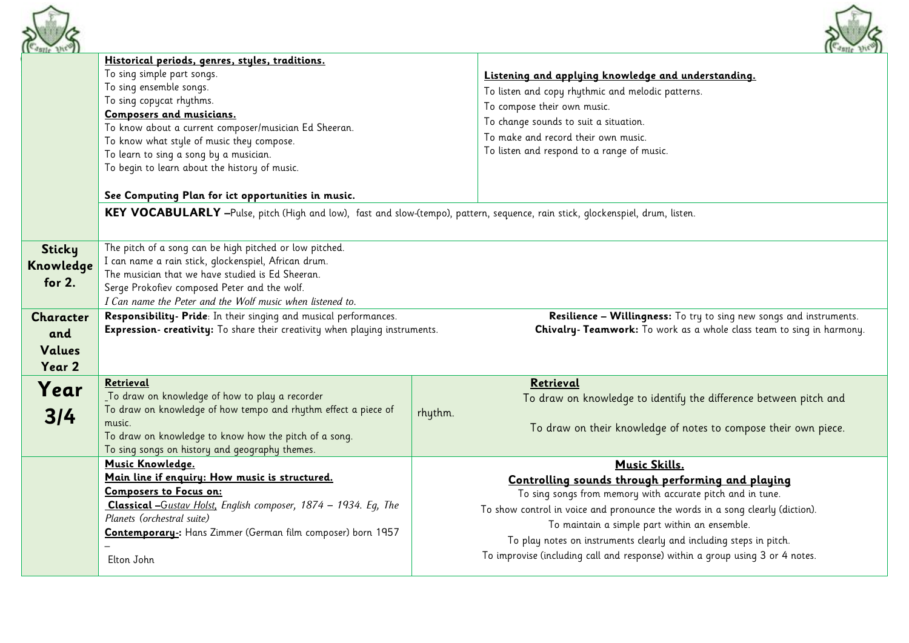



| $-$ azili jur. |                                                                                                                                                      |         | $U$ and $U$                                                                   |
|----------------|------------------------------------------------------------------------------------------------------------------------------------------------------|---------|-------------------------------------------------------------------------------|
|                | Historical periods, genres, styles, traditions.<br>To sing simple part songs.                                                                        |         | Listening and applying knowledge and understanding.                           |
|                | To sing ensemble songs.                                                                                                                              |         | To listen and copy rhythmic and melodic patterns.                             |
|                | To sing copycat rhythms.                                                                                                                             |         | To compose their own music.                                                   |
|                | Composers and musicians.                                                                                                                             |         | To change sounds to suit a situation.                                         |
|                | To know about a current composer/musician Ed Sheeran.                                                                                                |         | To make and record their own music.                                           |
|                | To know what style of music they compose.                                                                                                            |         |                                                                               |
|                | To learn to sing a song by a musician.                                                                                                               |         | To listen and respond to a range of music.                                    |
|                | To begin to learn about the history of music.                                                                                                        |         |                                                                               |
|                | See Computing Plan for ict opportunities in music.                                                                                                   |         |                                                                               |
|                | KEY VOCABULARLY -Pulse, pitch (High and low), fast and slow-(tempo), pattern, sequence, rain stick, glockenspiel, drum, listen.                      |         |                                                                               |
|                |                                                                                                                                                      |         |                                                                               |
| Sticky         | The pitch of a song can be high pitched or low pitched.                                                                                              |         |                                                                               |
| Knowledge      | I can name a rain stick, glockenspiel, African drum.                                                                                                 |         |                                                                               |
| for $2.$       | The musician that we have studied is Ed Sheeran.                                                                                                     |         |                                                                               |
|                | Serge Prokofiev composed Peter and the wolf.                                                                                                         |         |                                                                               |
|                | I Can name the Peter and the Wolf music when listened to.                                                                                            |         |                                                                               |
| Character      | Responsibility- Pride: In their singing and musical performances.<br>Resilience - Willingness: To try to sing new songs and instruments.             |         |                                                                               |
| and            | Expression- creativity: To share their creativity when playing instruments.<br>Chivalry- Teamwork: To work as a whole class team to sing in harmony. |         |                                                                               |
| Values         |                                                                                                                                                      |         |                                                                               |
| Year 2         |                                                                                                                                                      |         |                                                                               |
|                | Retrieval                                                                                                                                            |         | Retrieval                                                                     |
| Year           | To draw on knowledge of how to play a recorder                                                                                                       |         | To draw on knowledge to identify the difference between pitch and             |
|                | To draw on knowledge of how tempo and rhythm effect a piece of                                                                                       |         |                                                                               |
| 3/4            | music.                                                                                                                                               | rhythm. |                                                                               |
|                | To draw on knowledge to know how the pitch of a song.                                                                                                |         | To draw on their knowledge of notes to compose their own piece.               |
|                | To sing songs on history and geography themes.                                                                                                       |         |                                                                               |
|                | Music Knowledge.                                                                                                                                     |         | Music Skills.                                                                 |
|                | Main line if enquiry: How music is structured.                                                                                                       |         | Controlling sounds through performing and playing                             |
|                | <b>Composers to Focus on:</b>                                                                                                                        |         | To sing songs from memory with accurate pitch and in tune.                    |
|                | Classical -Gustav Holst, English composer, 1874 - 1934. Eg, The                                                                                      |         | To show control in voice and pronounce the words in a song clearly (diction). |
|                | Planets (orchestral suite)                                                                                                                           |         |                                                                               |
|                | <b>Contemporary</b> : Hans Zimmer (German film composer) born 1957                                                                                   |         | To maintain a simple part within an ensemble.                                 |
|                |                                                                                                                                                      |         | To play notes on instruments clearly and including steps in pitch.            |
|                | Elton John                                                                                                                                           |         | To improvise (including call and response) within a group using 3 or 4 notes. |
|                |                                                                                                                                                      |         |                                                                               |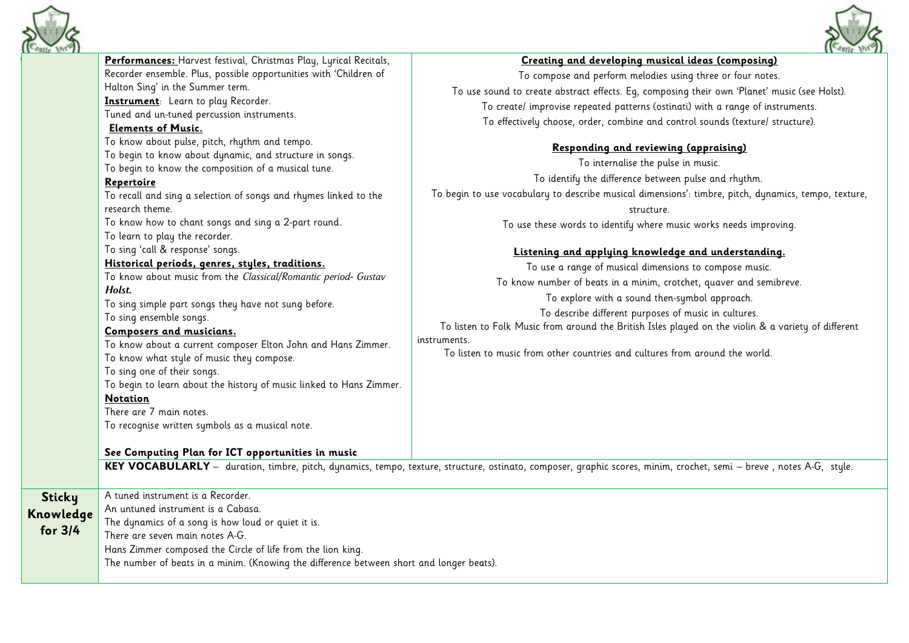



| <b>Castle Diew</b>                    |                                                                                                                                                                                                                                                                                                                                                                                                                                                                                                                                                                                                                                                                                                                                                                                                                                                                                                                                                                                                                                                                                                                                                                                                                                                                     | Gastle they                                                                                                                                                                                                                                                                                                                                                                                                                                                                                                                                                                                                                                                                                                                                                                                                                                                                                                                                                                                                                                                                                                                                                                                                                  |
|---------------------------------------|---------------------------------------------------------------------------------------------------------------------------------------------------------------------------------------------------------------------------------------------------------------------------------------------------------------------------------------------------------------------------------------------------------------------------------------------------------------------------------------------------------------------------------------------------------------------------------------------------------------------------------------------------------------------------------------------------------------------------------------------------------------------------------------------------------------------------------------------------------------------------------------------------------------------------------------------------------------------------------------------------------------------------------------------------------------------------------------------------------------------------------------------------------------------------------------------------------------------------------------------------------------------|------------------------------------------------------------------------------------------------------------------------------------------------------------------------------------------------------------------------------------------------------------------------------------------------------------------------------------------------------------------------------------------------------------------------------------------------------------------------------------------------------------------------------------------------------------------------------------------------------------------------------------------------------------------------------------------------------------------------------------------------------------------------------------------------------------------------------------------------------------------------------------------------------------------------------------------------------------------------------------------------------------------------------------------------------------------------------------------------------------------------------------------------------------------------------------------------------------------------------|
|                                       | Performances: Harvest festival, Christmas Play, Lyrical Recitals,<br>Recorder ensemble. Plus, possible opportunities with 'Children of<br>Halton Sing' in the Summer term.<br>Instrument: Learn to play Recorder.<br>Tuned and un-tuned percussion instruments.<br><b>Elements of Music.</b><br>To know about pulse, pitch, rhythm and tempo.<br>To begin to know about dynamic, and structure in songs.<br>To begin to know the composition of a musical tune.<br>Repertoire<br>To recall and sing a selection of songs and rhymes linked to the<br>research theme.<br>To know how to chant songs and sing a 2-part round.<br>To learn to play the recorder.<br>To sing 'call & response' songs.<br>Historical periods, genres, styles, traditions.<br>To know about music from the Classical/Romantic period- Gustav<br>Holst.<br>To sing simple part songs they have not sung before.<br>To sing ensemble songs.<br>Composers and musicians.<br>To know about a current composer Elton John and Hans Zimmer.<br>To know what style of music they compose.<br>To sing one of their songs.<br>To begin to learn about the history of music linked to Hans Zimmer.<br><b>Notation</b><br>There are 7 main notes.<br>To recognise written symbols as a musical note. | Creating and developing musical ideas (composing)<br>To compose and perform melodies using three or four notes.<br>To use sound to create abstract effects. Eg, composing their own 'Planet' music (see Holst).<br>To create/ improvise repeated patterns (ostinati) with a range of instruments.<br>To effectively choose, order, combine and control sounds (texture/ structure).<br>Responding and reviewing (appraising)<br>To internalise the pulse in music.<br>To identify the difference between pulse and rhythm.<br>To begin to use vocabulary to describe musical dimensions': timbre, pitch, dynamics, tempo, texture,<br>structure.<br>To use these words to identify where music works needs improving.<br>Listening and applying knowledge and understanding.<br>To use a range of musical dimensions to compose music.<br>To know number of beats in a minim, crotchet, quaver and semibreve.<br>To explore with a sound then-symbol approach.<br>To describe different purposes of music in cultures.<br>To listen to Folk Music from around the British Isles played on the violin & a variety of different<br>instruments.<br>To listen to music from other countries and cultures from around the world. |
|                                       | See Computing Plan for ICT opportunities in music                                                                                                                                                                                                                                                                                                                                                                                                                                                                                                                                                                                                                                                                                                                                                                                                                                                                                                                                                                                                                                                                                                                                                                                                                   | KEY VOCABULARLY - duration, timbre, pitch, dynamics, tempo, texture, structure, ostinato, composer, graphic scores, minim, crochet, semi - breve, notes A-G, style.                                                                                                                                                                                                                                                                                                                                                                                                                                                                                                                                                                                                                                                                                                                                                                                                                                                                                                                                                                                                                                                          |
| <b>Sticky</b><br>Knowledge<br>for 3/4 | A tuned instrument is a Recorder.<br>An untuned instrument is a Cabasa.<br>The dynamics of a song is how loud or quiet it is.<br>There are seven main notes A-G.<br>Hans Zimmer composed the Circle of life from the lion king.<br>The number of beats in a minim. (Knowing the difference between short and longer beats).                                                                                                                                                                                                                                                                                                                                                                                                                                                                                                                                                                                                                                                                                                                                                                                                                                                                                                                                         |                                                                                                                                                                                                                                                                                                                                                                                                                                                                                                                                                                                                                                                                                                                                                                                                                                                                                                                                                                                                                                                                                                                                                                                                                              |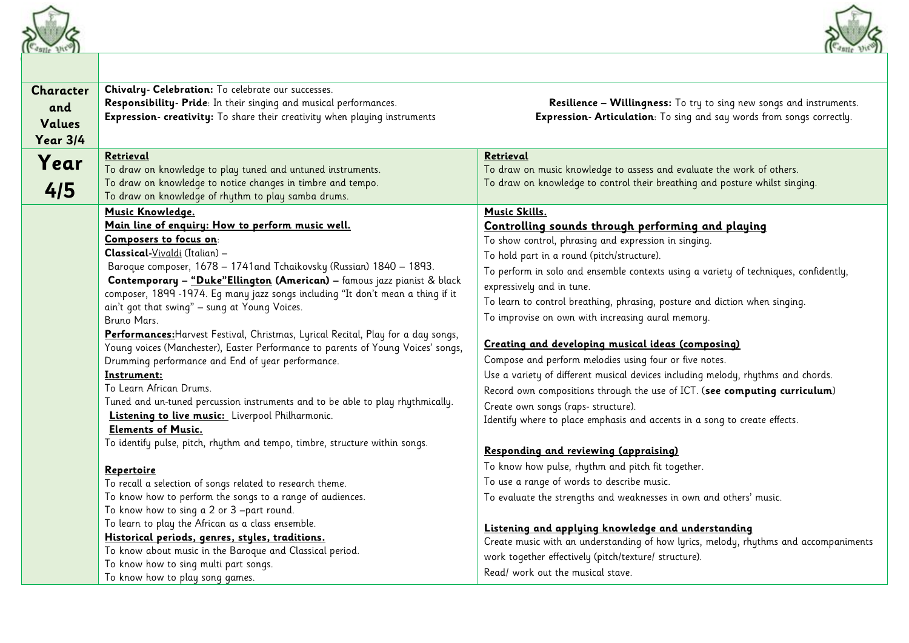



| Chivalry- Celebration: To celebrate our successes.<br><b>Character</b><br>Responsibility- Pride: In their singing and musical performances.<br>and<br>Expression- creativity: To share their creativity when playing instruments<br>Values<br><b>Year 3/4</b><br>Retrieval<br>Retrieval<br>Year<br>To draw on knowledge to play tuned and untuned instruments.<br>To draw on knowledge to notice changes in timbre and tempo.<br>4/5<br>To draw on knowledge of rhythm to play samba drums.<br>Music Knowledge.<br><b>Music Skills.</b><br>Main line of enquiry: How to perform music well.<br>Controlling sounds through performing and playing<br>Composers to focus on:<br>To show control, phrasing and expression in singing.<br>Classical-Vivaldi (Italian) -<br>To hold part in a round (pitch/structure).<br>Baroque composer, 1678 - 1741 and Tchaikovsky (Russian) 1840 - 1893.<br>Contemporary - "Duke"Ellington (American) - famous jazz pianist & black<br>expressively and in tune.<br>composer, 1899 -1974. Eq many jazz songs including "It don't mean a thing if it<br>ain't got that swing" - sung at Young Voices.<br>To improvise on own with increasing aural memory.<br>Bruno Mars.<br>Performances: Harvest Festival, Christmas, Lyrical Recital, Play for a day songs,<br>Creating and developing musical ideas (composing)<br>Young voices (Manchester), Easter Performance to parents of Young Voices' songs,<br>Compose and perform melodies using four or five notes.<br>Drumming performance and End of year performance.<br>Instrument:<br>To Learn African Drums.<br>Tuned and un-tuned percussion instruments and to be able to play rhythmically.<br>Create own songs (raps- structure).<br>Listening to live music: Liverpool Philharmonic. | Resilience - Willingness: To try to sing new songs and instruments.<br>Expression- Articulation: To sing and say words from songs correctly.                                                                                                                                                                                                                                                                                                                                                              |
|-------------------------------------------------------------------------------------------------------------------------------------------------------------------------------------------------------------------------------------------------------------------------------------------------------------------------------------------------------------------------------------------------------------------------------------------------------------------------------------------------------------------------------------------------------------------------------------------------------------------------------------------------------------------------------------------------------------------------------------------------------------------------------------------------------------------------------------------------------------------------------------------------------------------------------------------------------------------------------------------------------------------------------------------------------------------------------------------------------------------------------------------------------------------------------------------------------------------------------------------------------------------------------------------------------------------------------------------------------------------------------------------------------------------------------------------------------------------------------------------------------------------------------------------------------------------------------------------------------------------------------------------------------------------------------------------------------------------------------------------------------------------------------|-----------------------------------------------------------------------------------------------------------------------------------------------------------------------------------------------------------------------------------------------------------------------------------------------------------------------------------------------------------------------------------------------------------------------------------------------------------------------------------------------------------|
|                                                                                                                                                                                                                                                                                                                                                                                                                                                                                                                                                                                                                                                                                                                                                                                                                                                                                                                                                                                                                                                                                                                                                                                                                                                                                                                                                                                                                                                                                                                                                                                                                                                                                                                                                                               |                                                                                                                                                                                                                                                                                                                                                                                                                                                                                                           |
|                                                                                                                                                                                                                                                                                                                                                                                                                                                                                                                                                                                                                                                                                                                                                                                                                                                                                                                                                                                                                                                                                                                                                                                                                                                                                                                                                                                                                                                                                                                                                                                                                                                                                                                                                                               | To draw on music knowledge to assess and evaluate the work of others.<br>To draw on knowledge to control their breathing and posture whilst singing.                                                                                                                                                                                                                                                                                                                                                      |
| <b>Elements of Music.</b><br>To identify pulse, pitch, rhythm and tempo, timbre, structure within songs.<br>Responding and reviewing (appraising)<br>To know how pulse, rhythm and pitch fit together.<br>Repertoire<br>To use a range of words to describe music.<br>To recall a selection of songs related to research theme.<br>To know how to perform the songs to a range of audiences.<br>To evaluate the strengths and weaknesses in own and others' music.<br>To know how to sing a 2 or 3 -part round.<br>To learn to play the African as a class ensemble.<br>Listening and applying knowledge and understanding<br>Historical periods, genres, styles, traditions.<br>To know about music in the Baroque and Classical period.<br>work together effectively (pitch/texture/ structure).<br>To know how to sing multi part songs.<br>Read/ work out the musical stave.<br>To know how to play song games.                                                                                                                                                                                                                                                                                                                                                                                                                                                                                                                                                                                                                                                                                                                                                                                                                                                           | To perform in solo and ensemble contexts using a variety of techniques, confidently,<br>To learn to control breathing, phrasing, posture and diction when singing.<br>Use a variety of different musical devices including melody, rhythms and chords.<br>Record own compositions through the use of ICT. (see computing curriculum)<br>Identify where to place emphasis and accents in a song to create effects.<br>Create music with an understanding of how lyrics, melody, rhythms and accompaniments |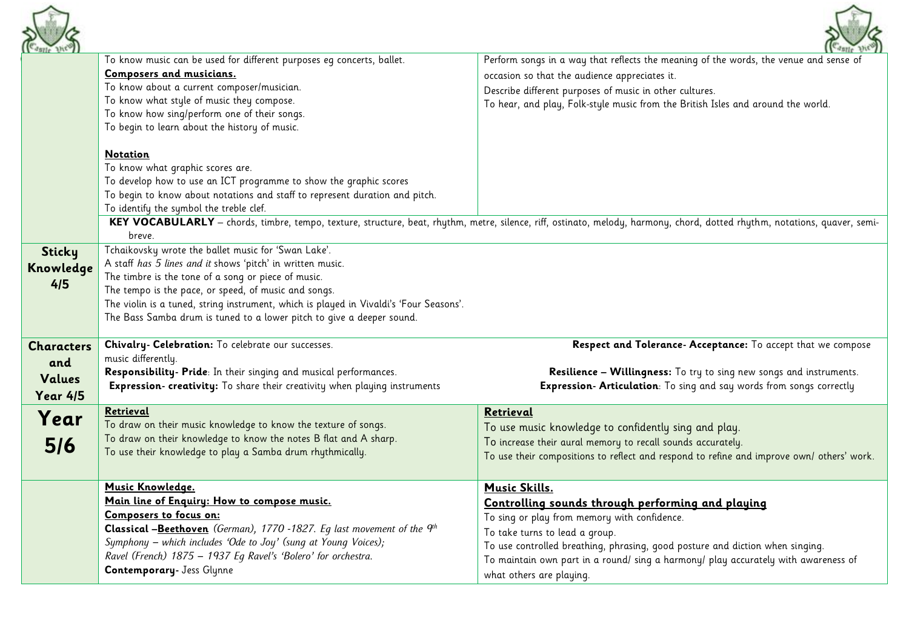



|                   |                                                                                                                                                                 | $\left(\left(\begin{array}{cc} c_{\text{dsub}} & \text{if } c \end{array}\right)\right)$                                                                                   |
|-------------------|-----------------------------------------------------------------------------------------------------------------------------------------------------------------|----------------------------------------------------------------------------------------------------------------------------------------------------------------------------|
|                   | To know music can be used for different purposes eg concerts, ballet.                                                                                           | Perform songs in a way that reflects the meaning of the words, the venue and sense of                                                                                      |
|                   | Composers and musicians.                                                                                                                                        | occasion so that the audience appreciates it.                                                                                                                              |
|                   | To know about a current composer/musician.                                                                                                                      | Describe different purposes of music in other cultures.                                                                                                                    |
|                   | To know what style of music they compose.                                                                                                                       | To hear, and play, Folk-style music from the British Isles and around the world.                                                                                           |
|                   | To know how sing/perform one of their songs.                                                                                                                    |                                                                                                                                                                            |
|                   | To begin to learn about the history of music.                                                                                                                   |                                                                                                                                                                            |
|                   |                                                                                                                                                                 |                                                                                                                                                                            |
|                   | <b>Notation</b>                                                                                                                                                 |                                                                                                                                                                            |
|                   | To know what graphic scores are.                                                                                                                                |                                                                                                                                                                            |
|                   | To develop how to use an ICT programme to show the graphic scores                                                                                               |                                                                                                                                                                            |
|                   | To begin to know about notations and staff to represent duration and pitch.                                                                                     |                                                                                                                                                                            |
|                   | To identify the symbol the treble clef.                                                                                                                         |                                                                                                                                                                            |
|                   |                                                                                                                                                                 | KEY VOCABULARLY - chords, timbre, tempo, texture, structure, beat, rhythm, metre, silence, riff, ostinato, melody, harmony, chord, dotted rhythm, notations, quaver, semi- |
|                   | breve.                                                                                                                                                          |                                                                                                                                                                            |
| <b>Sticky</b>     | Tchaikovsky wrote the ballet music for 'Swan Lake'.                                                                                                             |                                                                                                                                                                            |
| Knowledge         | A staff has 5 lines and it shows 'pitch' in written music.                                                                                                      |                                                                                                                                                                            |
| 4/5               | The timbre is the tone of a song or piece of music.                                                                                                             |                                                                                                                                                                            |
|                   | The tempo is the pace, or speed, of music and songs.                                                                                                            |                                                                                                                                                                            |
|                   | The violin is a tuned, string instrument, which is played in Vivaldi's 'Four Seasons'.<br>The Bass Samba drum is tuned to a lower pitch to give a deeper sound. |                                                                                                                                                                            |
|                   |                                                                                                                                                                 |                                                                                                                                                                            |
| <b>Characters</b> | Chivalry- Celebration: To celebrate our successes.                                                                                                              | Respect and Tolerance-Acceptance: To accept that we compose                                                                                                                |
|                   | music differently.                                                                                                                                              |                                                                                                                                                                            |
| and               | Responsibility- Pride: In their singing and musical performances.                                                                                               | <b>Resilience - Willingness:</b> To try to sing new songs and instruments.                                                                                                 |
| Values            |                                                                                                                                                                 |                                                                                                                                                                            |
|                   |                                                                                                                                                                 |                                                                                                                                                                            |
| <b>Year 4/5</b>   | Expression- creativity: To share their creativity when playing instruments                                                                                      | Expression- Articulation: To sing and say words from songs correctly                                                                                                       |
|                   | Retrieval                                                                                                                                                       | Retrieval                                                                                                                                                                  |
| Year              | To draw on their music knowledge to know the texture of songs.                                                                                                  |                                                                                                                                                                            |
|                   | To draw on their knowledge to know the notes B flat and A sharp.                                                                                                | To use music knowledge to confidently sing and play.                                                                                                                       |
| 5/6               | To use their knowledge to play a Samba drum rhythmically.                                                                                                       | To increase their aural memory to recall sounds accurately.<br>To use their compositions to reflect and respond to refine and improve own/ others' work.                   |
|                   |                                                                                                                                                                 |                                                                                                                                                                            |
|                   | Music Knowledge.                                                                                                                                                | <b>Music Skills.</b>                                                                                                                                                       |
|                   | Main line of Enquiry: How to compose music.                                                                                                                     |                                                                                                                                                                            |
|                   | Composers to focus on:                                                                                                                                          | Controlling sounds through performing and playing                                                                                                                          |
|                   | <b>Classical -Beethoven</b> (German), 1770 -1827. Eq last movement of the $q^{th}$                                                                              | To sing or play from memory with confidence.                                                                                                                               |
|                   | Symphony - which includes 'Ode to Joy' (sung at Young Voices);                                                                                                  | To take turns to lead a group.                                                                                                                                             |
|                   | Ravel (French) 1875 - 1937 Eq Ravel's 'Bolero' for orchestra.                                                                                                   | To use controlled breathing, phrasing, good posture and diction when singing.                                                                                              |
|                   | <b>Contemporary</b> - Jess Glynne                                                                                                                               | To maintain own part in a round/ sing a harmony/ play accurately with awareness of<br>what others are playing.                                                             |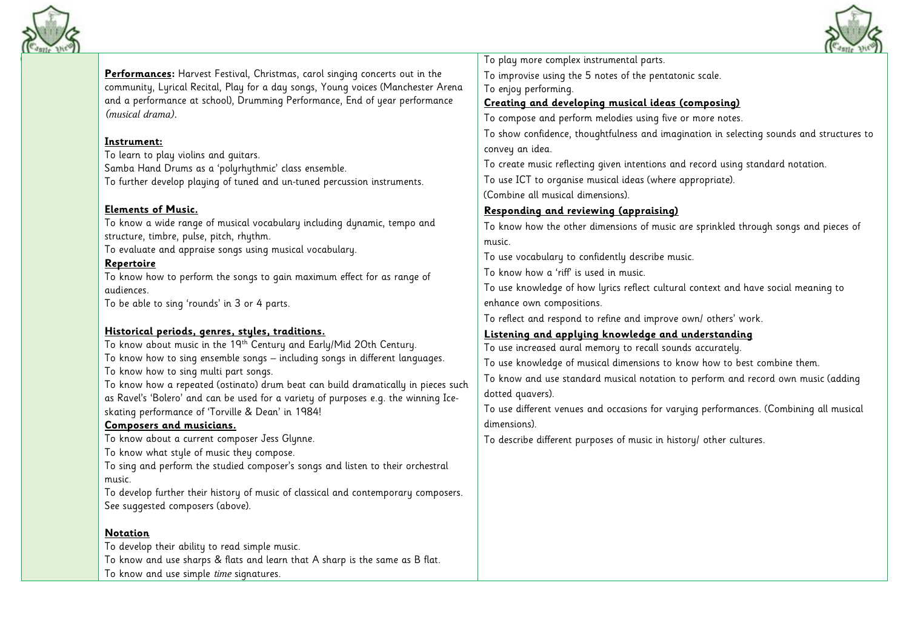



**Performances:** Harvest Festival, Christmas, carol singing concerts out in the community, Lyrical Recital, Play for a day songs, Young voices (Manchester Arena and a performance at school), Drumming Performance, End of year performance *(musical drama).*

#### **Instrument:**

To learn to play violins and guitars. Samba Hand Drums as a 'polyrhythmic' class ensemble. To further develop playing of tuned and un-tuned percussion instruments.

### **Elements of Music.**

To know a wide range of musical vocabulary including dynamic, tempo and structure, timbre, pulse, pitch, rhythm.

To evaluate and appraise songs using musical vocabulary.

#### **Repertoire**

To know how to perform the songs to gain maximum effect for as range of audiences.

To be able to sing 'rounds' in 3 or 4 parts.

### **Historical periods, genres, styles, traditions.**

To know about music in the 19th Century and Early/Mid 2Oth Century. To know how to sing ensemble songs – including songs in different languages. To know how to sing multi part songs. To know how a repeated (ostinato) drum beat can build dramatically in pieces such

as Ravel's 'Bolero' and can be used for a variety of purposes e.g. the winning Iceskating performance of 'Torville & Dean' in 1984!

### **Composers and musicians.**

To know about a current composer Jess Glunne.

To know what style of music they compose.

To sing and perform the studied composer's songs and listen to their orchestral music.

To develop further their history of music of classical and contemporary composers. See suggested composers (above).

### **Notation**

To develop their ability to read simple music. To know and use sharps & flats and learn that A sharp is the same as B flat. To know and use simple *time* signatures.

To play more complex instrumental parts.

To improvise using the 5 notes of the pentatonic scale.

To enjoy performing.

# **Creating and developing musical ideas (composing)**

To compose and perform melodies using five or more notes.

To show confidence, thoughtfulness and imagination in selecting sounds and structures to convey an idea.

To create music reflecting given intentions and record using standard notation.

To use ICT to organise musical ideas (where appropriate).

(Combine all musical dimensions).

## **Responding and reviewing (appraising)**

To know how the other dimensions of music are sprinkled through songs and pieces of music.

To use vocabulary to confidently describe music.

To know how a 'riff' is used in music.

To use knowledge of how lyrics reflect cultural context and have social meaning to enhance own compositions.

To reflect and respond to refine and improve own/ others' work.

### **Listening and applying knowledge and understanding**

To use increased aural memory to recall sounds accurately.

To use knowledge of musical dimensions to know how to best combine them.

To know and use standard musical notation to perform and record own music (adding dotted quavers).

To use different venues and occasions for varying performances. (Combining all musical dimensions).

To describe different purposes of music in history/ other cultures.